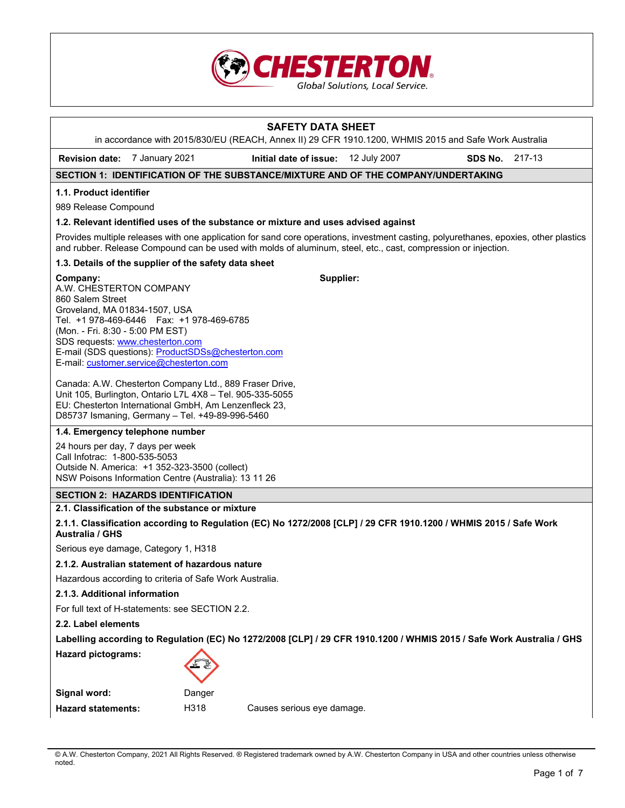

# **SAFETY DATA SHEET**  in accordance with 2015/830/EU (REACH, Annex II) 29 CFR 1910.1200, WHMIS 2015 and Safe Work Australia **Revision date:** 7 January 2021 **Initial date of issue:** 12 July 2007 **SDS No.** 217-13 **SECTION 1: IDENTIFICATION OF THE SUBSTANCE/MIXTURE AND OF THE COMPANY/UNDERTAKING 1.1. Product identifier**  989 Release Compound **1.2. Relevant identified uses of the substance or mixture and uses advised against**  Provides multiple releases with one application for sand core operations, investment casting, polyurethanes, epoxies, other plastics and rubber. Release Compound can be used with molds of aluminum, steel, etc., cast, compression or injection. **1.3. Details of the supplier of the safety data sheet Company:** A.W. CHESTERTON COMPANY 860 Salem Street Groveland, MA 01834-1507, USA Tel. +1 978-469-6446 Fax: +1 978-469-6785 (Mon. - Fri. 8:30 - 5:00 PM EST) SDS requests: www.chesterton.com E-mail (SDS questions): ProductSDSs@chesterton.com E-mail: customer.service@chesterton.com Canada: A.W. Chesterton Company Ltd., 889 Fraser Drive, Unit 105, Burlington, Ontario L7L 4X8 – Tel. 905-335-5055 EU: Chesterton International GmbH, Am Lenzenfleck 23, D85737 Ismaning, Germany – Tel. +49-89-996-5460 **Supplier: 1.4. Emergency telephone number**  24 hours per day, 7 days per week Call Infotrac: 1-800-535-5053 Outside N. America: +1 352-323-3500 (collect) NSW Poisons Information Centre (Australia): 13 11 26 **SECTION 2: HAZARDS IDENTIFICATION 2.1. Classification of the substance or mixture 2.1.1. Classification according to Regulation (EC) No 1272/2008 [CLP] / 29 CFR 1910.1200 / WHMIS 2015 / Safe Work Australia / GHS**  Serious eye damage, Category 1, H318 **2.1.2. Australian statement of hazardous nature**  Hazardous according to criteria of Safe Work Australia. **2.1.3. Additional information**  For full text of H-statements: see SECTION 2.2. **2.2. Label elements Labelling according to Regulation (EC) No 1272/2008 [CLP] / 29 CFR 1910.1200 / WHMIS 2015 / Safe Work Australia / GHS Hazard pictograms: Signal word:** Danger Hazard statements: H318 Causes serious eye damage.

© A.W. Chesterton Company, 2021 All Rights Reserved. ® Registered trademark owned by A.W. Chesterton Company in USA and other countries unless otherwise noted.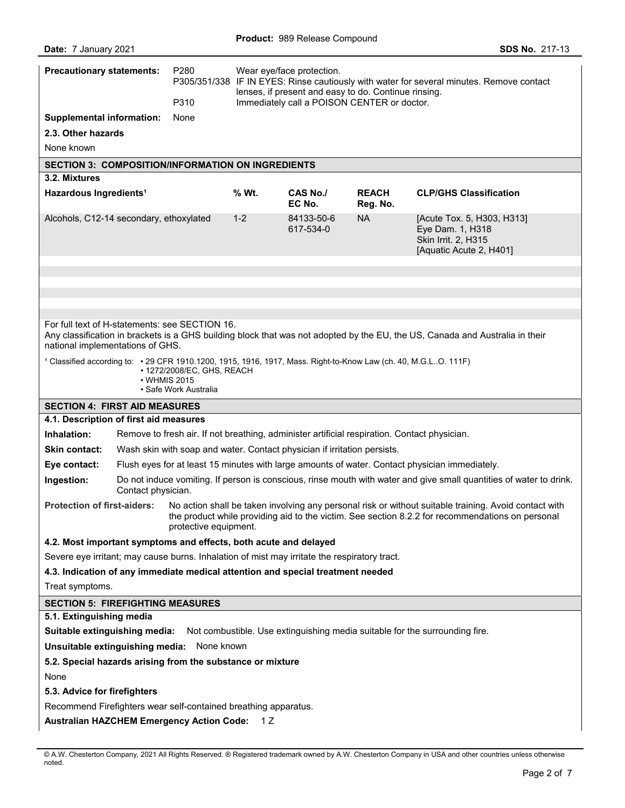|                                                                                                                 | <b>Precautionary statements:</b> | P <sub>280</sub>                                                    |                                                      | Wear eye/face protection.                                                                    |                          | P305/351/338 IF IN EYES: Rinse cautiously with water for several minutes. Remove contact                                                                                                                  |
|-----------------------------------------------------------------------------------------------------------------|----------------------------------|---------------------------------------------------------------------|------------------------------------------------------|----------------------------------------------------------------------------------------------|--------------------------|-----------------------------------------------------------------------------------------------------------------------------------------------------------------------------------------------------------|
|                                                                                                                 |                                  |                                                                     | lenses, if present and easy to do. Continue rinsing. |                                                                                              |                          |                                                                                                                                                                                                           |
| <b>Supplemental information:</b>                                                                                |                                  | P310<br>Immediately call a POISON CENTER or doctor.<br>None         |                                                      |                                                                                              |                          |                                                                                                                                                                                                           |
| 2.3. Other hazards                                                                                              |                                  |                                                                     |                                                      |                                                                                              |                          |                                                                                                                                                                                                           |
| None known                                                                                                      |                                  |                                                                     |                                                      |                                                                                              |                          |                                                                                                                                                                                                           |
| <b>SECTION 3: COMPOSITION/INFORMATION ON INGREDIENTS</b>                                                        |                                  |                                                                     |                                                      |                                                                                              |                          |                                                                                                                                                                                                           |
| 3.2. Mixtures                                                                                                   |                                  |                                                                     |                                                      |                                                                                              |                          |                                                                                                                                                                                                           |
| Hazardous Ingredients <sup>1</sup>                                                                              |                                  |                                                                     | % Wt.                                                | CAS No./<br>EC No.                                                                           | <b>REACH</b><br>Reg. No. | <b>CLP/GHS Classification</b>                                                                                                                                                                             |
| Alcohols, C12-14 secondary, ethoxylated                                                                         |                                  |                                                                     | $1 - 2$                                              | 84133-50-6<br>617-534-0                                                                      | <b>NA</b>                | [Acute Tox. 5, H303, H313]<br>Eye Dam. 1, H318<br>Skin Irrit. 2, H315<br>[Aquatic Acute 2, H401]                                                                                                          |
|                                                                                                                 |                                  |                                                                     |                                                      |                                                                                              |                          |                                                                                                                                                                                                           |
|                                                                                                                 |                                  |                                                                     |                                                      |                                                                                              |                          |                                                                                                                                                                                                           |
|                                                                                                                 |                                  |                                                                     |                                                      |                                                                                              |                          |                                                                                                                                                                                                           |
| For full text of H-statements: see SECTION 16.<br>national implementations of GHS.                              |                                  |                                                                     |                                                      |                                                                                              |                          | Any classification in brackets is a GHS building block that was not adopted by the EU, the US, Canada and Australia in their                                                                              |
| 1 Classified according to: • 29 CFR 1910.1200, 1915, 1916, 1917, Mass. Right-to-Know Law (ch. 40, M.G.LO. 111F) |                                  | • 1272/2008/EC, GHS, REACH<br>• WHMIS 2015<br>• Safe Work Australia |                                                      |                                                                                              |                          |                                                                                                                                                                                                           |
| <b>SECTION 4: FIRST AID MEASURES</b>                                                                            |                                  |                                                                     |                                                      |                                                                                              |                          |                                                                                                                                                                                                           |
| 4.1. Description of first aid measures                                                                          |                                  |                                                                     |                                                      |                                                                                              |                          |                                                                                                                                                                                                           |
|                                                                                                                 |                                  |                                                                     |                                                      |                                                                                              |                          |                                                                                                                                                                                                           |
| Inhalation:                                                                                                     |                                  |                                                                     |                                                      | Remove to fresh air. If not breathing, administer artificial respiration. Contact physician. |                          |                                                                                                                                                                                                           |
| Skin contact:                                                                                                   |                                  |                                                                     |                                                      | Wash skin with soap and water. Contact physician if irritation persists.                     |                          |                                                                                                                                                                                                           |
| Eye contact:                                                                                                    |                                  |                                                                     |                                                      |                                                                                              |                          | Flush eyes for at least 15 minutes with large amounts of water. Contact physician immediately.                                                                                                            |
| Ingestion:                                                                                                      | Contact physician.               |                                                                     |                                                      |                                                                                              |                          | Do not induce vomiting. If person is conscious, rinse mouth with water and give small quantities of water to drink.                                                                                       |
| <b>Protection of first-aiders:</b>                                                                              |                                  | protective equipment.                                               |                                                      |                                                                                              |                          | No action shall be taken involving any personal risk or without suitable training. Avoid contact with<br>the product while providing aid to the victim. See section 8.2.2 for recommendations on personal |
| 4.2. Most important symptoms and effects, both acute and delayed                                                |                                  |                                                                     |                                                      |                                                                                              |                          |                                                                                                                                                                                                           |
|                                                                                                                 |                                  |                                                                     |                                                      | Severe eye irritant; may cause burns. Inhalation of mist may irritate the respiratory tract. |                          |                                                                                                                                                                                                           |
|                                                                                                                 |                                  |                                                                     |                                                      | 4.3. Indication of any immediate medical attention and special treatment needed              |                          |                                                                                                                                                                                                           |
| Treat symptoms.                                                                                                 |                                  |                                                                     |                                                      |                                                                                              |                          |                                                                                                                                                                                                           |
| <b>SECTION 5: FIREFIGHTING MEASURES</b>                                                                         |                                  |                                                                     |                                                      |                                                                                              |                          |                                                                                                                                                                                                           |
| 5.1. Extinguishing media                                                                                        |                                  |                                                                     |                                                      |                                                                                              |                          |                                                                                                                                                                                                           |
|                                                                                                                 |                                  |                                                                     |                                                      |                                                                                              |                          | Suitable extinguishing media: Not combustible. Use extinguishing media suitable for the surrounding fire.                                                                                                 |
| Unsuitable extinguishing media: None known                                                                      |                                  |                                                                     |                                                      |                                                                                              |                          |                                                                                                                                                                                                           |
| 5.2. Special hazards arising from the substance or mixture                                                      |                                  |                                                                     |                                                      |                                                                                              |                          |                                                                                                                                                                                                           |
| None                                                                                                            |                                  |                                                                     |                                                      |                                                                                              |                          |                                                                                                                                                                                                           |
| 5.3. Advice for firefighters<br>Recommend Firefighters wear self-contained breathing apparatus.                 |                                  |                                                                     |                                                      |                                                                                              |                          |                                                                                                                                                                                                           |

<sup>©</sup> A.W. Chesterton Company, 2021 All Rights Reserved. ® Registered trademark owned by A.W. Chesterton Company in USA and other countries unless otherwise noted.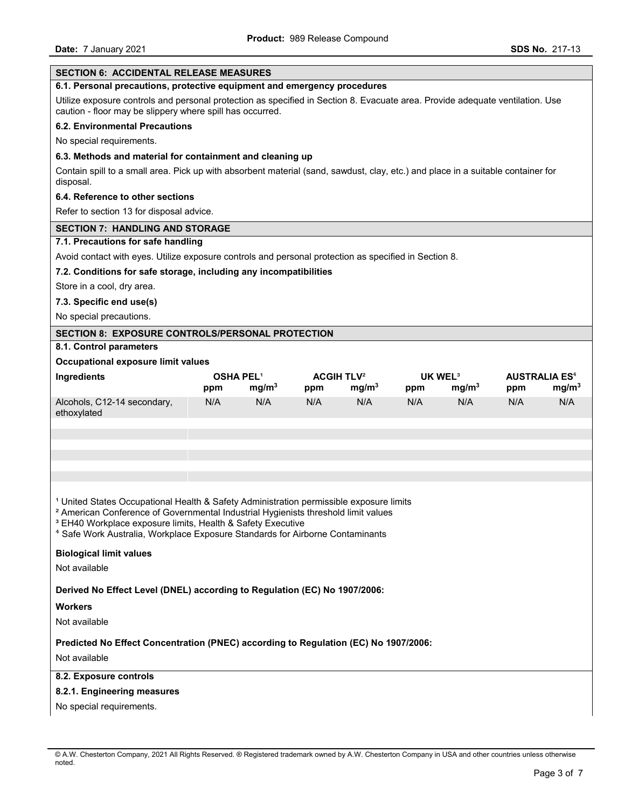| <b>SECTION 6: ACCIDENTAL RELEASE MEASURES</b>                                                                                                                                                                                                                                                                                                                             |                         |                   |                                     |                   |                            |                   |                                        |                   |
|---------------------------------------------------------------------------------------------------------------------------------------------------------------------------------------------------------------------------------------------------------------------------------------------------------------------------------------------------------------------------|-------------------------|-------------------|-------------------------------------|-------------------|----------------------------|-------------------|----------------------------------------|-------------------|
| 6.1. Personal precautions, protective equipment and emergency procedures                                                                                                                                                                                                                                                                                                  |                         |                   |                                     |                   |                            |                   |                                        |                   |
| Utilize exposure controls and personal protection as specified in Section 8. Evacuate area. Provide adequate ventilation. Use<br>caution - floor may be slippery where spill has occurred.                                                                                                                                                                                |                         |                   |                                     |                   |                            |                   |                                        |                   |
| <b>6.2. Environmental Precautions</b>                                                                                                                                                                                                                                                                                                                                     |                         |                   |                                     |                   |                            |                   |                                        |                   |
| No special requirements.                                                                                                                                                                                                                                                                                                                                                  |                         |                   |                                     |                   |                            |                   |                                        |                   |
| 6.3. Methods and material for containment and cleaning up                                                                                                                                                                                                                                                                                                                 |                         |                   |                                     |                   |                            |                   |                                        |                   |
| Contain spill to a small area. Pick up with absorbent material (sand, sawdust, clay, etc.) and place in a suitable container for<br>disposal.                                                                                                                                                                                                                             |                         |                   |                                     |                   |                            |                   |                                        |                   |
| 6.4. Reference to other sections                                                                                                                                                                                                                                                                                                                                          |                         |                   |                                     |                   |                            |                   |                                        |                   |
| Refer to section 13 for disposal advice.                                                                                                                                                                                                                                                                                                                                  |                         |                   |                                     |                   |                            |                   |                                        |                   |
| <b>SECTION 7: HANDLING AND STORAGE</b>                                                                                                                                                                                                                                                                                                                                    |                         |                   |                                     |                   |                            |                   |                                        |                   |
| 7.1. Precautions for safe handling                                                                                                                                                                                                                                                                                                                                        |                         |                   |                                     |                   |                            |                   |                                        |                   |
| Avoid contact with eyes. Utilize exposure controls and personal protection as specified in Section 8.                                                                                                                                                                                                                                                                     |                         |                   |                                     |                   |                            |                   |                                        |                   |
| 7.2. Conditions for safe storage, including any incompatibilities                                                                                                                                                                                                                                                                                                         |                         |                   |                                     |                   |                            |                   |                                        |                   |
| Store in a cool, dry area.                                                                                                                                                                                                                                                                                                                                                |                         |                   |                                     |                   |                            |                   |                                        |                   |
| 7.3. Specific end use(s)                                                                                                                                                                                                                                                                                                                                                  |                         |                   |                                     |                   |                            |                   |                                        |                   |
| No special precautions.                                                                                                                                                                                                                                                                                                                                                   |                         |                   |                                     |                   |                            |                   |                                        |                   |
| <b>SECTION 8: EXPOSURE CONTROLS/PERSONAL PROTECTION</b>                                                                                                                                                                                                                                                                                                                   |                         |                   |                                     |                   |                            |                   |                                        |                   |
| 8.1. Control parameters                                                                                                                                                                                                                                                                                                                                                   |                         |                   |                                     |                   |                            |                   |                                        |                   |
| Occupational exposure limit values                                                                                                                                                                                                                                                                                                                                        |                         |                   |                                     |                   |                            |                   |                                        |                   |
| Ingredients                                                                                                                                                                                                                                                                                                                                                               | <b>OSHA PEL1</b><br>ppm | mg/m <sup>3</sup> | <b>ACGIH TLV<sup>2</sup></b><br>ppm | mg/m <sup>3</sup> | UK WEL <sup>3</sup><br>ppm | mg/m <sup>3</sup> | <b>AUSTRALIA ES<sup>4</sup></b><br>ppm | mg/m <sup>3</sup> |
| Alcohols, C12-14 secondary,<br>ethoxylated                                                                                                                                                                                                                                                                                                                                | N/A                     | N/A               | N/A                                 | N/A               | N/A                        | N/A               | N/A                                    | N/A               |
|                                                                                                                                                                                                                                                                                                                                                                           |                         |                   |                                     |                   |                            |                   |                                        |                   |
|                                                                                                                                                                                                                                                                                                                                                                           |                         |                   |                                     |                   |                            |                   |                                        |                   |
|                                                                                                                                                                                                                                                                                                                                                                           |                         |                   |                                     |                   |                            |                   |                                        |                   |
|                                                                                                                                                                                                                                                                                                                                                                           |                         |                   |                                     |                   |                            |                   |                                        |                   |
| <sup>1</sup> United States Occupational Health & Safety Administration permissible exposure limits<br><sup>2</sup> American Conference of Governmental Industrial Hygienists threshold limit values<br><sup>3</sup> EH40 Workplace exposure limits, Health & Safety Executive<br><sup>4</sup> Safe Work Australia, Workplace Exposure Standards for Airborne Contaminants |                         |                   |                                     |                   |                            |                   |                                        |                   |
| <b>Biological limit values</b>                                                                                                                                                                                                                                                                                                                                            |                         |                   |                                     |                   |                            |                   |                                        |                   |
| Not available                                                                                                                                                                                                                                                                                                                                                             |                         |                   |                                     |                   |                            |                   |                                        |                   |
| Derived No Effect Level (DNEL) according to Regulation (EC) No 1907/2006:                                                                                                                                                                                                                                                                                                 |                         |                   |                                     |                   |                            |                   |                                        |                   |
| <b>Workers</b>                                                                                                                                                                                                                                                                                                                                                            |                         |                   |                                     |                   |                            |                   |                                        |                   |
| Not available                                                                                                                                                                                                                                                                                                                                                             |                         |                   |                                     |                   |                            |                   |                                        |                   |
| Predicted No Effect Concentration (PNEC) according to Regulation (EC) No 1907/2006:                                                                                                                                                                                                                                                                                       |                         |                   |                                     |                   |                            |                   |                                        |                   |
| Not available                                                                                                                                                                                                                                                                                                                                                             |                         |                   |                                     |                   |                            |                   |                                        |                   |
| 8.2. Exposure controls                                                                                                                                                                                                                                                                                                                                                    |                         |                   |                                     |                   |                            |                   |                                        |                   |
| 8.2.1. Engineering measures                                                                                                                                                                                                                                                                                                                                               |                         |                   |                                     |                   |                            |                   |                                        |                   |
| No special requirements.                                                                                                                                                                                                                                                                                                                                                  |                         |                   |                                     |                   |                            |                   |                                        |                   |
|                                                                                                                                                                                                                                                                                                                                                                           |                         |                   |                                     |                   |                            |                   |                                        |                   |

<sup>©</sup> A.W. Chesterton Company, 2021 All Rights Reserved. ® Registered trademark owned by A.W. Chesterton Company in USA and other countries unless otherwise noted.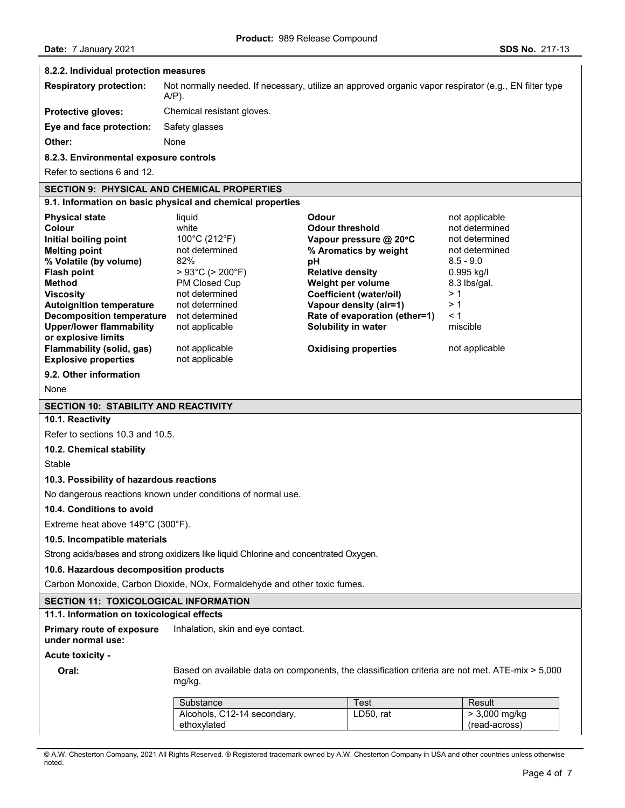#### **8.2.2. Individual protection measures**

| <b>Respiratory protection:</b> | Not normally needed. If necessary, utilize an approved organic vapor respirator (e.g., EN filter type<br>A/P). |
|--------------------------------|----------------------------------------------------------------------------------------------------------------|
| <b>Protective gloves:</b>      | Chemical resistant gloves.                                                                                     |
| Eye and face protection:       | Safety glasses                                                                                                 |
| Other:                         | None                                                                                                           |

#### **8.2.3. Environmental exposure controls**

Refer to sections 6 and 12.

# **SECTION 9: PHYSICAL AND CHEMICAL PROPERTIES**

# **9.1. Information on basic physical and chemical properties**

| <b>Physical state</b>                                                           | liquid                              | Odour                         | not applicable |
|---------------------------------------------------------------------------------|-------------------------------------|-------------------------------|----------------|
| Colour                                                                          | white                               | <b>Odour threshold</b>        | not determined |
| Initial boiling point                                                           | 100°C (212°F)                       | Vapour pressure @ 20°C        | not determined |
| <b>Melting point</b>                                                            | not determined                      | % Aromatics by weight         | not determined |
| % Volatile (by volume)                                                          | 82%                                 | рH                            | $8.5 - 9.0$    |
| <b>Flash point</b>                                                              | $>93^{\circ}$ C ( $>200^{\circ}$ F) | <b>Relative density</b>       | 0.995 kg/l     |
| <b>Method</b>                                                                   | PM Closed Cup                       | Weight per volume             | 8.3 lbs/gal.   |
| <b>Viscosity</b>                                                                | not determined                      | Coefficient (water/oil)       | >1             |
| <b>Autoignition temperature</b>                                                 | not determined                      | Vapour density (air=1)        | >1             |
| <b>Decomposition temperature</b>                                                | not determined                      | Rate of evaporation (ether=1) | $\leq 1$       |
| Upper/lower flammability                                                        | not applicable                      | Solubility in water           | miscible       |
| or explosive limits<br>Flammability (solid, gas)<br><b>Explosive properties</b> | not applicable<br>not applicable    | <b>Oxidising properties</b>   | not applicable |

# **9.2. Other information**

None

#### **SECTION 10: STABILITY AND REACTIVITY**

# **10.1. Reactivity**

Refer to sections 10.3 and 10.5.

# **10.2. Chemical stability**

Stable

#### **10.3. Possibility of hazardous reactions**

No dangerous reactions known under conditions of normal use.

#### **10.4. Conditions to avoid**

Extreme heat above 149°C (300°F).

# **10.5. Incompatible materials**

Strong acids/bases and strong oxidizers like liquid Chlorine and concentrated Oxygen.

## **10.6. Hazardous decomposition products**

Carbon Monoxide, Carbon Dioxide, NOx, Formaldehyde and other toxic fumes.

# **SECTION 11: TOXICOLOGICAL INFORMATION**

# **11.1. Information on toxicological effects**

**Primary route of exposure**  Inhalation, skin and eye contact.

# **under normal use: Acute toxicity -**

**Oral:** Based on available data on components, the classification criteria are not met. ATE-mix > 5,000 mg/kg.

| Alcohols, C12-14 secondary,<br>LD50. rat<br>> 3,000 mg/kg | Substance   | Test | Result        |
|-----------------------------------------------------------|-------------|------|---------------|
|                                                           | ethoxvlated |      | (read-across) |

© A.W. Chesterton Company, 2021 All Rights Reserved. ® Registered trademark owned by A.W. Chesterton Company in USA and other countries unless otherwise noted.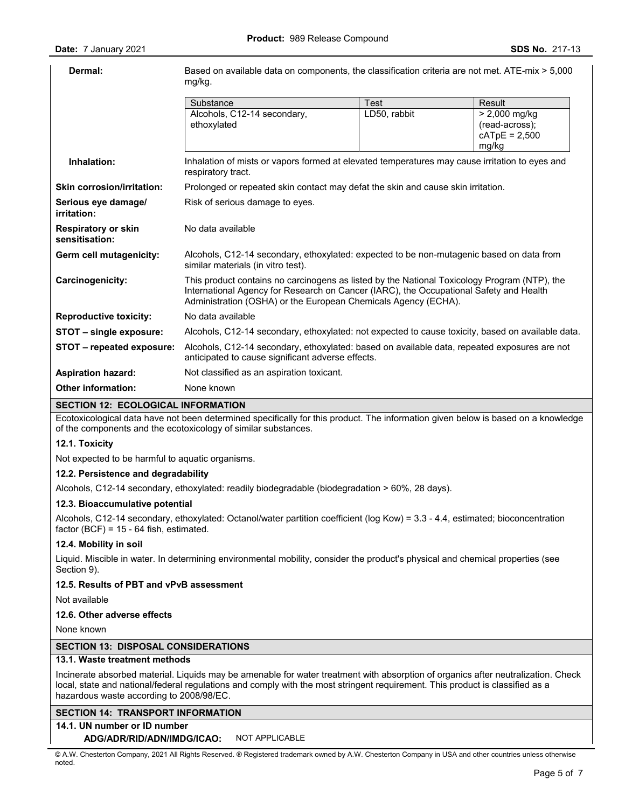| Dermal:                                      | Based on available data on components, the classification criteria are not met. ATE-mix > 5,000<br>mg/kg.                                                                                                                                                |              |                                                               |  |  |  |
|----------------------------------------------|----------------------------------------------------------------------------------------------------------------------------------------------------------------------------------------------------------------------------------------------------------|--------------|---------------------------------------------------------------|--|--|--|
|                                              | Test<br>Substance<br>Result                                                                                                                                                                                                                              |              |                                                               |  |  |  |
|                                              | Alcohols, C12-14 secondary,<br>ethoxylated                                                                                                                                                                                                               | LD50, rabbit | $> 2,000$ mg/kg<br>(read-across);<br>$cATpE = 2,500$<br>mg/kg |  |  |  |
| Inhalation:                                  | Inhalation of mists or vapors formed at elevated temperatures may cause irritation to eyes and<br>respiratory tract.                                                                                                                                     |              |                                                               |  |  |  |
| <b>Skin corrosion/irritation:</b>            | Prolonged or repeated skin contact may defat the skin and cause skin irritation.                                                                                                                                                                         |              |                                                               |  |  |  |
| Serious eye damage/<br>irritation:           | Risk of serious damage to eyes.                                                                                                                                                                                                                          |              |                                                               |  |  |  |
| <b>Respiratory or skin</b><br>sensitisation: | No data available                                                                                                                                                                                                                                        |              |                                                               |  |  |  |
| Germ cell mutagenicity:                      | Alcohols, C12-14 secondary, ethoxylated: expected to be non-mutagenic based on data from<br>similar materials (in vitro test).                                                                                                                           |              |                                                               |  |  |  |
| Carcinogenicity:                             | This product contains no carcinogens as listed by the National Toxicology Program (NTP), the<br>International Agency for Research on Cancer (IARC), the Occupational Safety and Health<br>Administration (OSHA) or the European Chemicals Agency (ECHA). |              |                                                               |  |  |  |
| <b>Reproductive toxicity:</b>                | No data available                                                                                                                                                                                                                                        |              |                                                               |  |  |  |
| STOT - single exposure:                      | Alcohols, C12-14 secondary, ethoxylated: not expected to cause toxicity, based on available data.                                                                                                                                                        |              |                                                               |  |  |  |
| STOT - repeated exposure:                    | Alcohols, C12-14 secondary, ethoxylated: based on available data, repeated exposures are not<br>anticipated to cause significant adverse effects.                                                                                                        |              |                                                               |  |  |  |
| <b>Aspiration hazard:</b>                    | Not classified as an aspiration toxicant.                                                                                                                                                                                                                |              |                                                               |  |  |  |
| <b>Other information:</b>                    | None known                                                                                                                                                                                                                                               |              |                                                               |  |  |  |
| SECTION 12: ECOLOGICAL INFORMATION           |                                                                                                                                                                                                                                                          |              |                                                               |  |  |  |

**SECTION 12: ECOLOGICAL INFORMATION** 

Ecotoxicological data have not been determined specifically for this product. The information given below is based on a knowledge of the components and the ecotoxicology of similar substances.

# **12.1. Toxicity**

Not expected to be harmful to aquatic organisms.

#### **12.2. Persistence and degradability**

Alcohols, C12-14 secondary, ethoxylated: readily biodegradable (biodegradation > 60%, 28 days).

#### **12.3. Bioaccumulative potential**

Alcohols, C12-14 secondary, ethoxylated: Octanol/water partition coefficient (log Kow) = 3.3 - 4.4, estimated; bioconcentration factor  $(BCF) = 15 - 64$  fish, estimated.

#### **12.4. Mobility in soil**

Liquid. Miscible in water. In determining environmental mobility, consider the product's physical and chemical properties (see Section 9).

### **12.5. Results of PBT and vPvB assessment**

Not available

## **12.6. Other adverse effects**

None known

## **SECTION 13: DISPOSAL CONSIDERATIONS**

#### **13.1. Waste treatment methods**

Incinerate absorbed material. Liquids may be amenable for water treatment with absorption of organics after neutralization. Check local, state and national/federal regulations and comply with the most stringent requirement. This product is classified as a hazardous waste according to 2008/98/EC.

# **SECTION 14: TRANSPORT INFORMATION**

## **14.1. UN number or ID number**

**ADG/ADR/RID/ADN/IMDG/ICAO:** NOT APPLICABLE

© A.W. Chesterton Company, 2021 All Rights Reserved. ® Registered trademark owned by A.W. Chesterton Company in USA and other countries unless otherwise noted.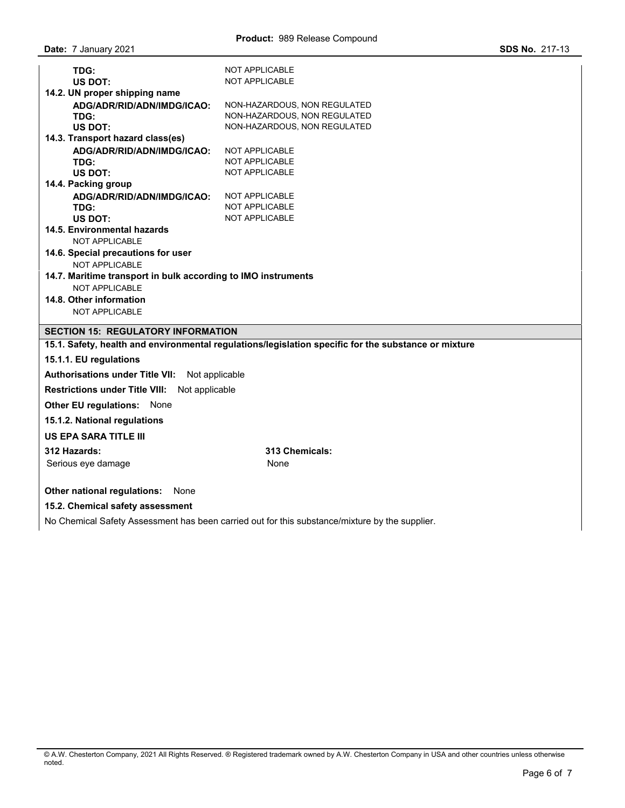| TDG:<br><b>US DOT:</b>                                        | <b>NOT APPLICABLE</b><br><b>NOT APPLICABLE</b>                                                       |  |  |  |
|---------------------------------------------------------------|------------------------------------------------------------------------------------------------------|--|--|--|
| 14.2. UN proper shipping name<br>ADG/ADR/RID/ADN/IMDG/ICAO:   | NON-HAZARDOUS, NON REGULATED                                                                         |  |  |  |
| TDG:                                                          | NON-HAZARDOUS, NON REGULATED                                                                         |  |  |  |
| <b>US DOT:</b>                                                | NON-HAZARDOUS, NON REGULATED                                                                         |  |  |  |
| 14.3. Transport hazard class(es)                              |                                                                                                      |  |  |  |
| ADG/ADR/RID/ADN/IMDG/ICAO:<br>TDG:                            | <b>NOT APPLICABLE</b><br><b>NOT APPLICABLE</b>                                                       |  |  |  |
| US DOT:                                                       | NOT APPLICABLE                                                                                       |  |  |  |
| 14.4. Packing group                                           |                                                                                                      |  |  |  |
| ADG/ADR/RID/ADN/IMDG/ICAO:                                    | NOT APPLICABLE                                                                                       |  |  |  |
| TDG:<br>US DOT:                                               | <b>NOT APPLICABLE</b><br><b>NOT APPLICABLE</b>                                                       |  |  |  |
| 14.5. Environmental hazards                                   |                                                                                                      |  |  |  |
| NOT APPLICABLE                                                |                                                                                                      |  |  |  |
| 14.6. Special precautions for user<br><b>NOT APPLICABLE</b>   |                                                                                                      |  |  |  |
| 14.7. Maritime transport in bulk according to IMO instruments |                                                                                                      |  |  |  |
| NOT APPLICABLE                                                |                                                                                                      |  |  |  |
| 14.8. Other information                                       |                                                                                                      |  |  |  |
| <b>NOT APPLICABLE</b>                                         |                                                                                                      |  |  |  |
| <b>SECTION 15: REGULATORY INFORMATION</b>                     |                                                                                                      |  |  |  |
|                                                               | 15.1. Safety, health and environmental regulations/legislation specific for the substance or mixture |  |  |  |
| 15.1.1. EU regulations                                        |                                                                                                      |  |  |  |
| <b>Authorisations under Title VII:</b><br>Not applicable      |                                                                                                      |  |  |  |
| Not applicable<br><b>Restrictions under Title VIII:</b>       |                                                                                                      |  |  |  |
| <b>Other EU regulations: None</b>                             |                                                                                                      |  |  |  |
| 15.1.2. National regulations                                  |                                                                                                      |  |  |  |
| <b>US EPA SARA TITLE III</b>                                  |                                                                                                      |  |  |  |
| 312 Hazards:                                                  | 313 Chemicals:                                                                                       |  |  |  |
| Serious eye damage                                            | None                                                                                                 |  |  |  |
| Other national regulations:<br>None                           |                                                                                                      |  |  |  |

# **15.2. Chemical safety assessment**

No Chemical Safety Assessment has been carried out for this substance/mixture by the supplier.